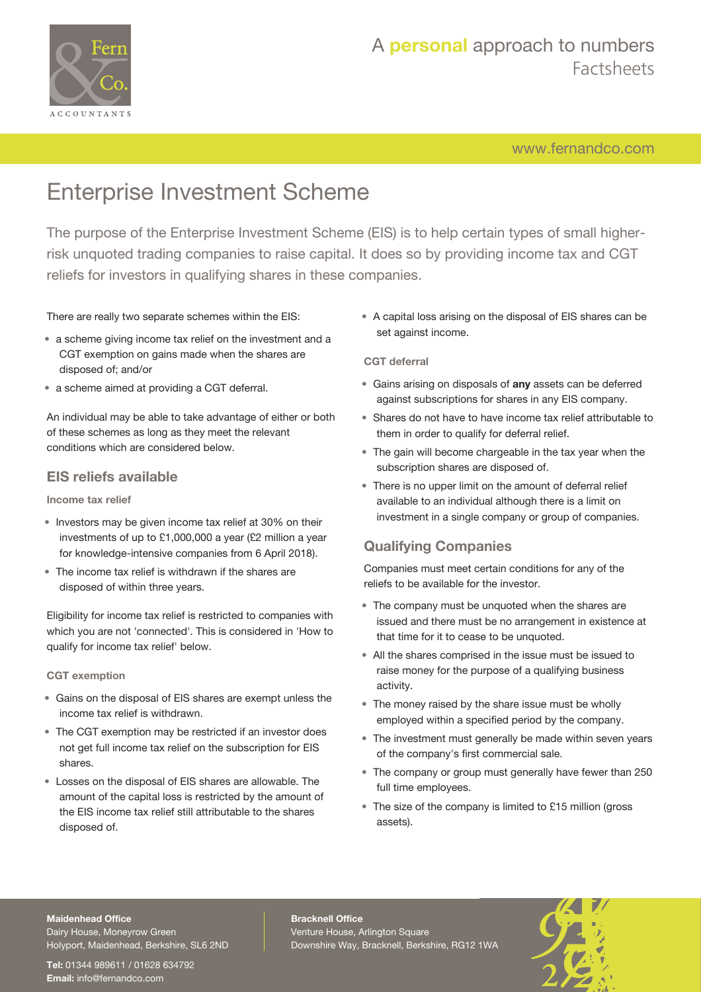

## A **personal** approach to numbers Factsheets

[www.fernandco.com](http://www.fernandco.com)

# Enterprise Investment Scheme

The purpose of the Enterprise Investment Scheme (EIS) is to help certain types of small higherrisk unquoted trading companies to raise capital. It does so by providing income tax and CGT reliefs for investors in qualifying shares in these companies.

### There are really two separate schemes within the EIS:

- a scheme giving income tax relief on the investment and a CGT exemption on gains made when the shares are disposed of; and/or
- a scheme aimed at providing a CGT deferral.

An individual may be able to take advantage of either or both of these schemes as long as they meet the relevant conditions which are considered below.

### **EIS reliefs available**

**Income tax relief**

- Investors may be given income tax relief at 30% on their investments of up to £1,000,000 a year (£2 million a year for knowledge-intensive companies from 6 April 2018).
- The income tax relief is withdrawn if the shares are disposed of within three years.

Eligibility for income tax relief is restricted to companies with which you are not 'connected'. This is considered in 'How to qualify for income tax relief' below.

**CGT exemption**

- Gains on the disposal of EIS shares are exempt unless the income tax relief is withdrawn.
- The CGT exemption may be restricted if an investor does not get full income tax relief on the subscription for EIS shares.
- Losses on the disposal of EIS shares are allowable. The amount of the capital loss is restricted by the amount of the EIS income tax relief still attributable to the shares disposed of.

• A capital loss arising on the disposal of EIS shares can be set against income.

#### **CGT deferral**

- Gains arising on disposals of **any** assets can be deferred against subscriptions for shares in any EIS company.
- Shares do not have to have income tax relief attributable to them in order to qualify for deferral relief.
- The gain will become chargeable in the tax year when the subscription shares are disposed of.
- There is no upper limit on the amount of deferral relief available to an individual although there is a limit on investment in a single company or group of companies.

## **Qualifying Companies**

Companies must meet certain conditions for any of the reliefs to be available for the investor.

- The company must be unquoted when the shares are issued and there must be no arrangement in existence at that time for it to cease to be unquoted.
- All the shares comprised in the issue must be issued to raise money for the purpose of a qualifying business activity.
- The money raised by the share issue must be wholly employed within a specified period by the company.
- The investment must generally be made within seven years of the company's first commercial sale.
- The company or group must generally have fewer than 250 full time employees.
- The size of the company is limited to £15 million (gross assets).

#### **Maidenhead Office**

Dairy House, Moneyrow Green Holyport, Maidenhead, Berkshire, SL6 2ND

**Tel:** 01344 989611 / 01628 634792 **Email:** [info@fernandco.com](mailto:info@fernandco.com)

**Bracknell Office** Venture House, Arlington Square Downshire Way, Bracknell, Berkshire, RG12 1WA

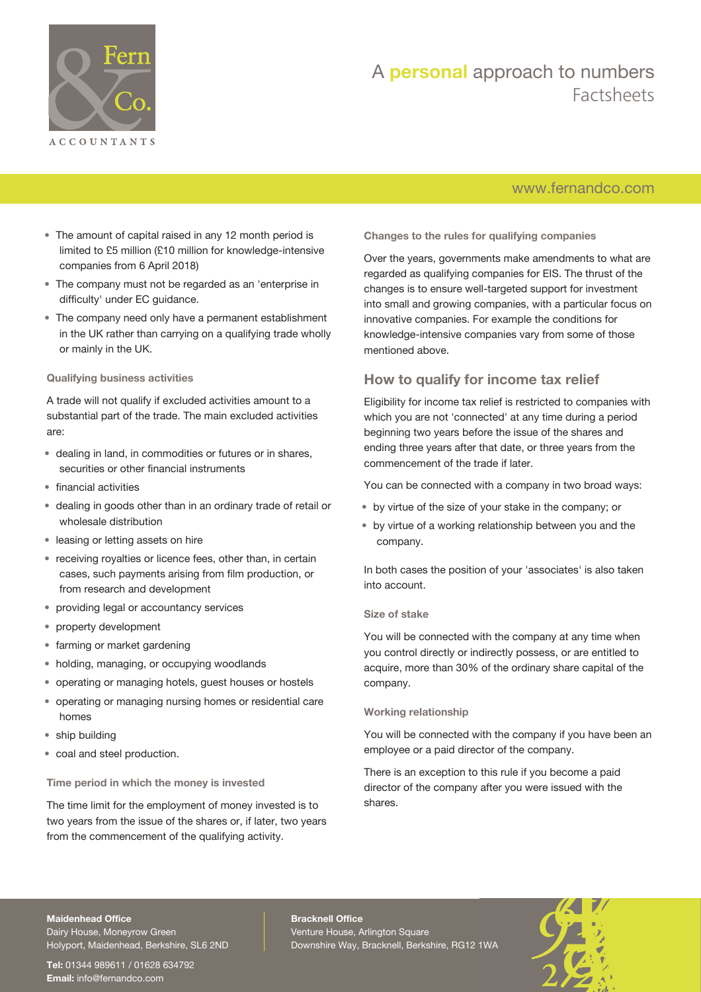

## A **personal** approach to numbers Factsheets

## [www.fernandco.com](http://www.fernandco.com)

- The amount of capital raised in any 12 month period is limited to £5 million (£10 million for knowledge-intensive companies from 6 April 2018)
- The company must not be regarded as an 'enterprise in difficulty' under EC guidance.
- The company need only have a permanent establishment in the UK rather than carrying on a qualifying trade wholly or mainly in the UK.

#### **Qualifying business activities**

A trade will not qualify if excluded activities amount to a substantial part of the trade. The main excluded activities are:

- dealing in land, in commodities or futures or in shares, securities or other financial instruments
- financial activities
- dealing in goods other than in an ordinary trade of retail or wholesale distribution
- leasing or letting assets on hire
- receiving royalties or licence fees, other than, in certain cases, such payments arising from film production, or from research and development
- providing legal or accountancy services
- property development
- farming or market gardening
- holding, managing, or occupying woodlands
- operating or managing hotels, guest houses or hostels
- operating or managing nursing homes or residential care homes
- ship building
- coal and steel production.

**Time period in which the money is invested**

The time limit for the employment of money invested is to two years from the issue of the shares or, if later, two years from the commencement of the qualifying activity.

**Changes to the rules for qualifying companies**

Over the years, governments make amendments to what are regarded as qualifying companies for EIS. The thrust of the changes is to ensure well-targeted support for investment into small and growing companies, with a particular focus on innovative companies. For example the conditions for knowledge-intensive companies vary from some of those mentioned above.

### **How to qualify for income tax relief**

Eligibility for income tax relief is restricted to companies with which you are not 'connected' at any time during a period beginning two years before the issue of the shares and ending three years after that date, or three years from the commencement of the trade if later.

You can be connected with a company in two broad ways:

- by virtue of the size of your stake in the company; or
- by virtue of a working relationship between you and the company.

In both cases the position of your 'associates' is also taken into account.

#### **Size of stake**

You will be connected with the company at any time when you control directly or indirectly possess, or are entitled to acquire, more than 30% of the ordinary share capital of the company.

#### **Working relationship**

You will be connected with the company if you have been an employee or a paid director of the company.

There is an exception to this rule if you become a paid director of the company after you were issued with the shares.

#### **Maidenhead Office**

Dairy House, Moneyrow Green Holyport, Maidenhead, Berkshire, SL6 2ND

**Tel:** 01344 989611 / 01628 634792 **Email:** [info@fernandco.com](mailto:info@fernandco.com)

**Bracknell Office** Venture House, Arlington Square Downshire Way, Bracknell, Berkshire, RG12 1WA